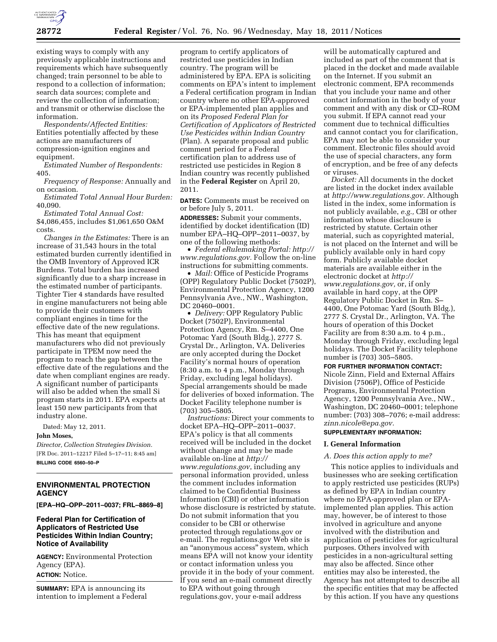

existing ways to comply with any previously applicable instructions and requirements which have subsequently changed; train personnel to be able to respond to a collection of information; search data sources; complete and review the collection of information; and transmit or otherwise disclose the information.

*Respondents/Affected Entities:*  Entities potentially affected by these actions are manufacturers of compression-ignition engines and equipment.

*Estimated Number of Respondents:*  405.

*Frequency of Response:* Annually and on occasion.

*Estimated Total Annual Hour Burden:*  40,090.

*Estimated Total Annual Cost:*  \$4,086,455, includes \$1,061,650 O&M costs.

*Changes in the Estimates:* There is an increase of 31,543 hours in the total estimated burden currently identified in the OMB Inventory of Approved ICR Burdens. Total burden has increased significantly due to a sharp increase in the estimated number of participants. Tighter Tier 4 standards have resulted in engine manufacturers not being able to provide their customers with compliant engines in time for the effective date of the new regulations. This has meant that equipment manufacturers who did not previously participate in TPEM now need the program to reach the gap between the effective date of the regulations and the date when compliant engines are ready. A significant number of participants will also be added when the small Si program starts in 2011. EPA expects at least 150 new participants from that industry alone.

Dated: May 12, 2011.

#### **John Moses,**

*Director, Collection Strategies Division.*  [FR Doc. 2011–12217 Filed 5–17–11; 8:45 am] **BILLING CODE 6560–50–P** 

# **ENVIRONMENTAL PROTECTION AGENCY**

**[EPA–HQ–OPP–2011–0037; FRL–8869–8]** 

# **Federal Plan for Certification of Applicators of Restricted Use Pesticides Within Indian Country; Notice of Availability**

**AGENCY:** Environmental Protection Agency (EPA). **ACTION:** Notice.

**SUMMARY:** EPA is announcing its intention to implement a Federal

program to certify applicators of restricted use pesticides in Indian country. The program will be administered by EPA. EPA is soliciting comments on EPA's intent to implement a Federal certification program in Indian country where no other EPA-approved or EPA-implemented plan applies and on its *Proposed Federal Plan for Certification of Applicators of Restricted Use Pesticides within Indian Country*  (Plan). A separate proposal and public comment period for a Federal certification plan to address use of restricted use pesticides in Region 8 Indian country was recently published in the **Federal Register** on April 20, 2011.

**DATES:** Comments must be received on or before July 5, 2011.

**ADDRESSES:** Submit your comments, identified by docket identification (ID) number EPA–HQ–OPP–2011–0037, by one of the following methods:

• *Federal eRulemaking Portal: [http://](http://www.regulations.gov)  [www.regulations.gov.](http://www.regulations.gov)* Follow the on-line instructions for submitting comments.

• *Mail:* Office of Pesticide Programs (OPP) Regulatory Public Docket (7502P), Environmental Protection Agency, 1200 Pennsylvania Ave., NW., Washington, DC 20460–0001.

• *Delivery:* OPP Regulatory Public Docket (7502P), Environmental Protection Agency, Rm. S–4400, One Potomac Yard (South Bldg.), 2777 S. Crystal Dr., Arlington, VA. Deliveries are only accepted during the Docket Facility's normal hours of operation (8:30 a.m. to 4 p.m., Monday through Friday, excluding legal holidays). Special arrangements should be made for deliveries of boxed information. The Docket Facility telephone number is (703) 305–5805.

*Instructions:* Direct your comments to docket EPA–HQ–OPP–2011–0037. EPA's policy is that all comments received will be included in the docket without change and may be made available on-line at *[http://](http://www.regulations.gov)  [www.regulations.gov](http://www.regulations.gov)*, including any personal information provided, unless the comment includes information claimed to be Confidential Business Information (CBI) or other information whose disclosure is restricted by statute. Do not submit information that you consider to be CBI or otherwise protected through regulations.gov or e-mail. The regulations.gov Web site is an ''anonymous access'' system, which means EPA will not know your identity or contact information unless you provide it in the body of your comment. If you send an e-mail comment directly to EPA without going through regulations.gov, your e-mail address

will be automatically captured and included as part of the comment that is placed in the docket and made available on the Internet. If you submit an electronic comment, EPA recommends that you include your name and other contact information in the body of your comment and with any disk or CD–ROM you submit. If EPA cannot read your comment due to technical difficulties and cannot contact you for clarification, EPA may not be able to consider your comment. Electronic files should avoid the use of special characters, any form of encryption, and be free of any defects or viruses.

*Docket:* All documents in the docket are listed in the docket index available at *[http://www.regulations.gov.](http://www.regulations.gov)* Although listed in the index, some information is not publicly available, *e.g.,* CBI or other information whose disclosure is restricted by statute. Certain other material, such as copyrighted material, is not placed on the Internet and will be publicly available only in hard copy form. Publicly available docket materials are available either in the electronic docket at *[http://](http://www.regulations.gov)  [www.regulations.gov,](http://www.regulations.gov)* or, if only available in hard copy, at the OPP Regulatory Public Docket in Rm. S– 4400, One Potomac Yard (South Bldg.), 2777 S. Crystal Dr., Arlington, VA. The hours of operation of this Docket Facility are from 8:30 a.m. to 4 p.m., Monday through Friday, excluding legal holidays. The Docket Facility telephone number is (703) 305–5805.

# **FOR FURTHER INFORMATION CONTACT:**

Nicole Zinn, Field and External Affairs Division (7506P), Office of Pesticide Programs, Environmental Protection Agency, 1200 Pennsylvania Ave., NW., Washington, DC 20460–0001; telephone number: (703) 308–7076; e-mail address: *[zinn.nicole@epa.gov.](mailto:zinn.nicole@epa.gov)* 

# **SUPPLEMENTARY INFORMATION:**

# **I. General Information**

### *A. Does this action apply to me?*

This notice applies to individuals and businesses who are seeking certification to apply restricted use pesticides (RUPs) as defined by EPA in Indian country where no EPA-approved plan or EPAimplemented plan applies. This action may, however, be of interest to those involved in agriculture and anyone involved with the distribution and application of pesticides for agricultural purposes. Others involved with pesticides in a non-agricultural setting may also be affected. Since other entities may also be interested, the Agency has not attempted to describe all the specific entities that may be affected by this action. If you have any questions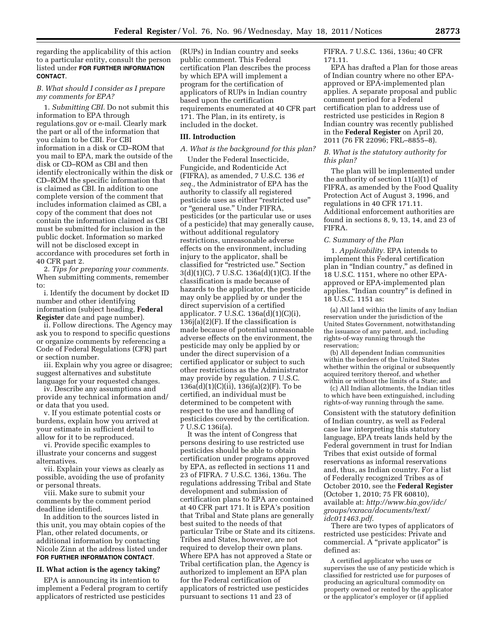regarding the applicability of this action to a particular entity, consult the person listed under **FOR FURTHER INFORMATION CONTACT**.

# *B. What should I consider as I prepare my comments for EPA?*

1. *Submitting CBI.* Do not submit this information to EPA through regulations.gov or e-mail. Clearly mark the part or all of the information that you claim to be CBI. For CBI information in a disk or CD–ROM that you mail to EPA, mark the outside of the disk or CD–ROM as CBI and then identify electronically within the disk or CD–ROM the specific information that is claimed as CBI. In addition to one complete version of the comment that includes information claimed as CBI, a copy of the comment that does not contain the information claimed as CBI must be submitted for inclusion in the public docket. Information so marked will not be disclosed except in accordance with procedures set forth in 40 CFR part 2.

2. *Tips for preparing your comments.*  When submitting comments, remember to:

i. Identify the document by docket ID number and other identifying information (subject heading, **Federal Register** date and page number).

ii. Follow directions. The Agency may ask you to respond to specific questions or organize comments by referencing a Code of Federal Regulations (CFR) part or section number.

iii. Explain why you agree or disagree; suggest alternatives and substitute language for your requested changes.

iv. Describe any assumptions and provide any technical information and/ or data that you used.

v. If you estimate potential costs or burdens, explain how you arrived at your estimate in sufficient detail to allow for it to be reproduced.

vi. Provide specific examples to illustrate your concerns and suggest alternatives.

vii. Explain your views as clearly as possible, avoiding the use of profanity or personal threats.

viii. Make sure to submit your comments by the comment period deadline identified.

In addition to the sources listed in this unit, you may obtain copies of the Plan, other related documents, or additional information by contacting Nicole Zinn at the address listed under **FOR FURTHER INFORMATION CONTACT**.

## **II. What action is the agency taking?**

EPA is announcing its intention to implement a Federal program to certify applicators of restricted use pesticides

(RUPs) in Indian country and seeks public comment. This Federal certification Plan describes the process by which EPA will implement a program for the certification of applicators of RUPs in Indian country based upon the certification requirements enumerated at 40 CFR part 171. The Plan, in its entirety, is included in the docket.

## **III. Introduction**

#### *A. What is the background for this plan?*

Under the Federal Insecticide, Fungicide, and Rodenticide Act (FIFRA), as amended, 7 U.S.C. 136 *et seq.,* the Administrator of EPA has the authority to classify all registered pesticide uses as either "restricted use" or "general use." Under FIFRA, pesticides (or the particular use or uses of a pesticide) that may generally cause, without additional regulatory restrictions, unreasonable adverse effects on the environment, including injury to the applicator, shall be classified for "restricted use." Section 3(d)(1)(C), 7 U.S.C. 136a(d)(1)(C). If the classification is made because of hazards to the applicator, the pesticide may only be applied by or under the direct supervision of a certified applicator. 7 U.S.C. 136a(d)(1)(C)(i),  $136j(a)(2)(F)$ . If the classification is made because of potential unreasonable adverse effects on the environment, the pesticide may only be applied by or under the direct supervision of a certified applicator or subject to such other restrictions as the Administrator may provide by regulation. 7 U.S.C. 136a(d)(1)(C)(ii), 136j(a)(2)(F). To be certified, an individual must be determined to be competent with respect to the use and handling of pesticides covered by the certification. 7 U.S.C 136i(a).

It was the intent of Congress that persons desiring to use restricted use pesticides should be able to obtain certification under programs approved by EPA, as reflected in sections 11 and 23 of FIFRA. 7 U.S.C. 136i, 136u. The regulations addressing Tribal and State development and submission of certification plans to EPA are contained at 40 CFR part 171. It is EPA's position that Tribal and State plans are generally best suited to the needs of that particular Tribe or State and its citizens. Tribes and States, however, are not required to develop their own plans. Where EPA has not approved a State or Tribal certification plan, the Agency is authorized to implement an EPA plan for the Federal certification of applicators of restricted use pesticides pursuant to sections 11 and 23 of

FIFRA. 7 U.S.C. 136i, 136u; 40 CFR 171.11.

EPA has drafted a Plan for those areas of Indian country where no other EPAapproved or EPA-implemented plan applies. A separate proposal and public comment period for a Federal certification plan to address use of restricted use pesticides in Region 8 Indian country was recently published in the **Federal Register** on April 20, 2011 (76 FR 22096; FRL–8855–8).

## *B. What is the statutory authority for this plan?*

The plan will be implemented under the authority of section 11(a)(1) of FIFRA, as amended by the Food Quality Protection Act of August 3, 1996, and regulations in 40 CFR 171.11. Additional enforcement authorities are found in sections 8, 9, 13, 14, and 23 of FIFRA.

#### *C. Summary of the Plan*

1. *Applicability.* EPA intends to implement this Federal certification plan in ''Indian country,'' as defined in 18 U.S.C. 1151, where no other EPAapproved or EPA-implemented plan applies. ''Indian country'' is defined in 18 U.S.C. 1151 as:

(a) All land within the limits of any Indian reservation under the jurisdiction of the United States Government, notwithstanding the issuance of any patent, and, including rights-of-way running through the reservation;

(b) All dependent Indian communities within the borders of the United States whether within the original or subsequently acquired territory thereof, and whether within or without the limits of a State; and

(c) All Indian allotments, the Indian titles to which have been extinguished, including rights-of-way running through the same.

Consistent with the statutory definition of Indian country, as well as Federal case law interpreting this statutory language, EPA treats lands held by the Federal government in trust for Indian Tribes that exist outside of formal reservations as informal reservations and, thus, as Indian country. For a list of Federally recognized Tribes as of October 2010, see the **Federal Register**  (October 1, 2010; 75 FR 60810), available at: *[http://www.bia.gov/idc/](http://www.bia.gov/idc/groups/vxraca/documents/text/idc011463.pdf) [groups/vxraca/documents/text/](http://www.bia.gov/idc/groups/vxraca/documents/text/idc011463.pdf) [idc011463.pdf](http://www.bia.gov/idc/groups/vxraca/documents/text/idc011463.pdf)*.

There are two types of applicators of restricted use pesticides: Private and commercial. A "private applicator" is defined as:

A certified applicator who uses or supervises the use of any pesticide which is classified for restricted use for purposes of producing an agricultural commodity on property owned or rented by the applicator or the applicator's employer or (if applied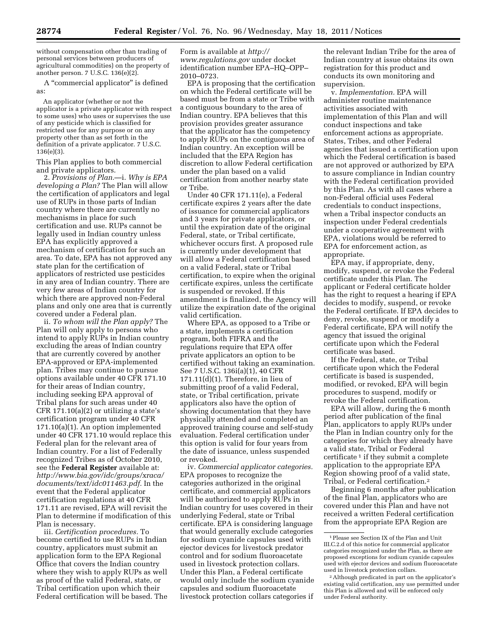without compensation other than trading of personal services between producers of agricultural commodities) on the property of another person. 7 U.S.C. 136(e)(2).

A ''commercial applicator'' is defined as:

An applicator (whether or not the applicator is a private applicator with respect to some uses) who uses or supervises the use of any pesticide which is classified for restricted use for any purpose or on any property other than as set forth in the definition of a private applicator. 7 U.S.C. 136(e)(3).

This Plan applies to both commercial and private applicators.

2. *Provisions of Plan.*—i. *Why is EPA developing a Plan?* The Plan will allow the certification of applicators and legal use of RUPs in those parts of Indian country where there are currently no mechanisms in place for such certification and use. RUPs cannot be legally used in Indian country unless EPA has explicitly approved a mechanism of certification for such an area. To date, EPA has not approved any state plan for the certification of applicators of restricted use pesticides in any area of Indian country. There are very few areas of Indian country for which there are approved non-Federal plans and only one area that is currently covered under a Federal plan.

ii. *To whom will the Plan apply?* The Plan will only apply to persons who intend to apply RUPs in Indian country excluding the areas of Indian country that are currently covered by another EPA-approved or EPA-implemented plan. Tribes may continue to pursue options available under 40 CFR 171.10 for their areas of Indian country, including seeking EPA approval of Tribal plans for such areas under 40 CFR 171.10(a)(2) or utilizing a state's certification program under 40 CFR 171.10(a)(1). An option implemented under 40 CFR 171.10 would replace this Federal plan for the relevant area of Indian country. For a list of Federally recognized Tribes as of October 2010, see the **Federal Register** available at: *[http://www.bia.gov/idc/groups/xraca/](http://www.bia.gov/idc/groups/xraca/documents/text/idc011463.pdf) [documents/text/idc011463.pdf.](http://www.bia.gov/idc/groups/xraca/documents/text/idc011463.pdf)* In the event that the Federal applicator certification regulations at 40 CFR 171.11 are revised, EPA will revisit the Plan to determine if modification of this Plan is necessary.

iii. *Certification procedures.* To become certified to use RUPs in Indian country, applicators must submit an application form to the EPA Regional Office that covers the Indian country where they wish to apply RUPs as well as proof of the valid Federal, state, or Tribal certification upon which their Federal certification will be based. The

Form is available at *[http://](http://www.regulations.gov)  [www.regulations.gov](http://www.regulations.gov)* under docket identification number EPA–HQ–OPP– 2010–0723.

EPA is proposing that the certification on which the Federal certificate will be based must be from a state or Tribe with a contiguous boundary to the area of Indian country. EPA believes that this provision provides greater assurance that the applicator has the competency to apply RUPs on the contiguous area of Indian country. An exception will be included that the EPA Region has discretion to allow Federal certification under the plan based on a valid certification from another nearby state or Tribe.

Under 40 CFR 171.11(e), a Federal certificate expires 2 years after the date of issuance for commercial applicators and 3 years for private applicators, or until the expiration date of the original Federal, state, or Tribal certificate, whichever occurs first. A proposed rule is currently under development that will allow a Federal certification based on a valid Federal, state or Tribal certification, to expire when the original certificate expires, unless the certificate is suspended or revoked. If this amendment is finalized, the Agency will utilize the expiration date of the original valid certification.

Where EPA, as opposed to a Tribe or a state, implements a certification program, both FIFRA and the regulations require that EPA offer private applicators an option to be certified without taking an examination. See 7 U.S.C. 136i(a)(1), 40 CFR 171.11(d)(1). Therefore, in lieu of submitting proof of a valid Federal, state, or Tribal certification, private applicators also have the option of showing documentation that they have physically attended and completed an approved training course and self-study evaluation. Federal certification under this option is valid for four years from the date of issuance, unless suspended or revoked.

iv. *Commercial applicator categories.*  EPA proposes to recognize the categories authorized in the original certificate, and commercial applicators will be authorized to apply RUPs in Indian country for uses covered in their underlying Federal, state or Tribal certificate. EPA is considering language that would generally exclude categories for sodium cyanide capsules used with ejector devices for livestock predator control and for sodium fluoroacetate used in livestock protection collars. Under this Plan, a Federal certificate would only include the sodium cyanide capsules and sodium fluoroacetate livestock protection collars categories if

the relevant Indian Tribe for the area of Indian country at issue obtains its own registration for this product and conducts its own monitoring and supervision.

v. *Implementation.* EPA will administer routine maintenance activities associated with implementation of this Plan and will conduct inspections and take enforcement actions as appropriate. States, Tribes, and other Federal agencies that issued a certification upon which the Federal certification is based are not approved or authorized by EPA to assure compliance in Indian country with the Federal certification provided by this Plan. As with all cases where a non-Federal official uses Federal credentials to conduct inspections, when a Tribal inspector conducts an inspection under Federal credentials under a cooperative agreement with EPA, violations would be referred to EPA for enforcement action, as appropriate.

EPA may, if appropriate, deny, modify, suspend, or revoke the Federal certificate under this Plan. The applicant or Federal certificate holder has the right to request a hearing if EPA decides to modify, suspend, or revoke the Federal certificate. If EPA decides to deny, revoke, suspend or modify a Federal certificate, EPA will notify the agency that issued the original certificate upon which the Federal certificate was based.

If the Federal, state, or Tribal certificate upon which the Federal certificate is based is suspended, modified, or revoked, EPA will begin procedures to suspend, modify or revoke the Federal certification.

EPA will allow, during the 6 month period after publication of the final Plan, applicators to apply RUPs under the Plan in Indian country only for the categories for which they already have a valid state, Tribal or Federal certificate 1 if they submit a complete application to the appropriate EPA Region showing proof of a valid state, Tribal, or Federal certification.2

Beginning 6 months after publication of the final Plan, applicators who are covered under this Plan and have not received a written Federal certification from the appropriate EPA Region are

<sup>1</sup>Please see Section IX of the Plan and Unit III.C.2.d of this notice for commercial applicator categories recognized under the Plan, as there are proposed exceptions for sodium cyanide capsules used with ejector devices and sodium fluoroacetate used in livestock protection collars.

<sup>2</sup>Although predicated in part on the applicator's existing valid certification, any use permitted under this Plan is allowed and will be enforced only under Federal authority.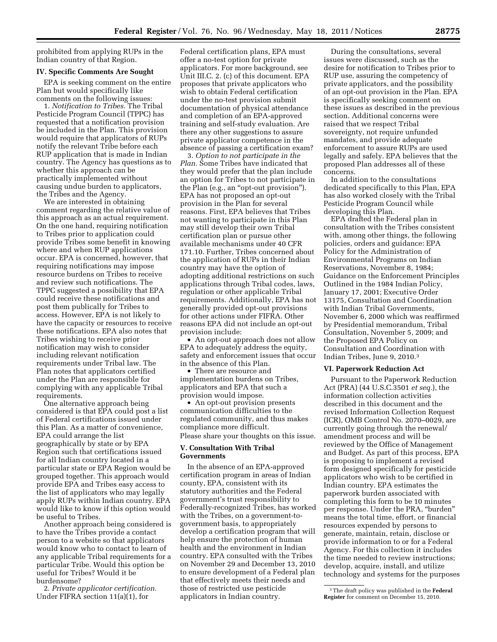prohibited from applying RUPs in the Indian country of that Region.

# **IV. Specific Comments Are Sought**

EPA is seeking comment on the entire Plan but would specifically like comments on the following issues:

1. *Notification to Tribes.* The Tribal Pesticide Program Council (TPPC) has requested that a notification provision be included in the Plan. This provision would require that applicators of RUPs notify the relevant Tribe before each RUP application that is made in Indian country. The Agency has questions as to whether this approach can be practically implemented without causing undue burden to applicators, the Tribes and the Agency.

We are interested in obtaining comment regarding the relative value of this approach as an actual requirement. On the one hand, requiring notification to Tribes prior to application could provide Tribes some benefit in knowing where and when RUP applications occur. EPA is concerned, however, that requiring notifications may impose resource burdens on Tribes to receive and review such notifications. The TPPC suggested a possibility that EPA could receive these notifications and post them publically for Tribes to access. However, EPA is not likely to have the capacity or resources to receive these notifications. EPA also notes that Tribes wishing to receive prior notification may wish to consider including relevant notification requirements under Tribal law. The Plan notes that applicators certified under the Plan are responsible for complying with any applicable Tribal requirements.

One alternative approach being considered is that EPA could post a list of Federal certifications issued under this Plan. As a matter of convenience, EPA could arrange the list geographically by state or by EPA Region such that certifications issued for all Indian country located in a particular state or EPA Region would be grouped together. This approach would provide EPA and Tribes easy access to the list of applicators who may legally apply RUPs within Indian country. EPA would like to know if this option would be useful to Tribes.

Another approach being considered is to have the Tribes provide a contact person to a website so that applicators would know who to contact to learn of any applicable Tribal requirements for a particular Tribe. Would this option be useful for Tribes? Would it be burdensome?

2. *Private applicator certification.*  Under FIFRA section 11(a)(1), for

Federal certification plans, EPA must offer a no-test option for private applicators. For more background, see Unit III.C. 2. (c) of this document. EPA proposes that private applicators who wish to obtain Federal certification under the no-test provision submit documentation of physical attendance and completion of an EPA-approved training and self-study evaluation. Are there any other suggestions to assure private applicator competence in the absence of passing a certification exam?

3. *Option to not participate in the Plan.* Some Tribes have indicated that they would prefer that the plan include an option for Tribes to not participate in the Plan (e.g., an "opt-out provision"). EPA has not proposed an opt-out provision in the Plan for several reasons. First, EPA believes that Tribes not wanting to participate in this Plan may still develop their own Tribal certification plan or pursue other available mechanisms under 40 CFR 171.10. Further, Tribes concerned about the application of RUPs in their Indian country may have the option of adopting additional restrictions on such applications through Tribal codes, laws, regulation or other applicable Tribal requirements. Additionally, EPA has not generally provided opt-out provisions for other actions under FIFRA. Other reasons EPA did not include an opt-out provision include:

• An opt-out approach does not allow EPA to adequately address the equity, safety and enforcement issues that occur in the absence of this Plan.

• There are resource and implementation burdens on Tribes, applicators and EPA that such a provision would impose.

• An opt-out provision presents communication difficulties to the regulated community, and thus makes compliance more difficult. Please share your thoughts on this issue.

# **V. Consultation With Tribal Governments**

In the absence of an EPA-approved certification program in areas of Indian county, EPA, consistent with its statutory authorities and the Federal government's trust responsibility to Federally-recognized Tribes, has worked with the Tribes, on a government-togovernment basis, to appropriately develop a certification program that will help ensure the protection of human health and the environment in Indian country. EPA consulted with the Tribes on November 29 and December 13, 2010 to ensure development of a Federal plan that effectively meets their needs and those of restricted use pesticide applicators in Indian country.

During the consultations, several issues were discussed, such as the desire for notification to Tribes prior to RUP use, assuring the competency of private applicators, and the possibility of an opt-out provision in the Plan. EPA is specifically seeking comment on these issues as described in the previous section. Additional concerns were raised that we respect Tribal sovereignty, not require unfunded mandates, and provide adequate enforcement to assure RUPs are used legally and safely. EPA believes that the proposed Plan addresses all of these concerns.

In addition to the consultations dedicated specifically to this Plan, EPA has also worked closely with the Tribal Pesticide Program Council while developing this Plan.

EPA drafted the Federal plan in consultation with the Tribes consistent with, among other things, the following policies, orders and guidance: EPA Policy for the Administration of Environmental Programs on Indian Reservations, November 8, 1984; Guidance on the Enforcement Principles Outlined in the 1984 Indian Policy, January 17, 2001; Executive Order 13175, Consultation and Coordination with Indian Tribal Governments, November 6, 2000 which was reaffirmed by Presidential memorandum, Tribal Consultation, November 5, 2009; and the Proposed EPA Policy on Consultation and Coordination with Indian Tribes, June 9, 2010.3

# **VI. Paperwork Reduction Act**

Pursuant to the Paperwork Reduction Act (PRA) (44 U.S.C.3501 *et seq.*), the information collection activities described in this document and the revised Information Collection Request (ICR), OMB Control No. 2070–0029, are currently going through the renewal/ amendment process and will be reviewed by the Office of Management and Budget. As part of this process, EPA is proposing to implement a revised form designed specifically for pesticide applicators who wish to be certified in Indian country. EPA estimates the paperwork burden associated with completing this form to be 10 minutes per response. Under the PRA, ''burden'' means the total time, effort, or financial resources expended by persons to generate, maintain, retain, disclose or provide information to or for a Federal Agency. For this collection it includes the time needed to review instructions; develop, acquire, install, and utilize technology and systems for the purposes

<sup>3</sup>The draft policy was published in the **Federal Register** for comment on December 15, 2010.